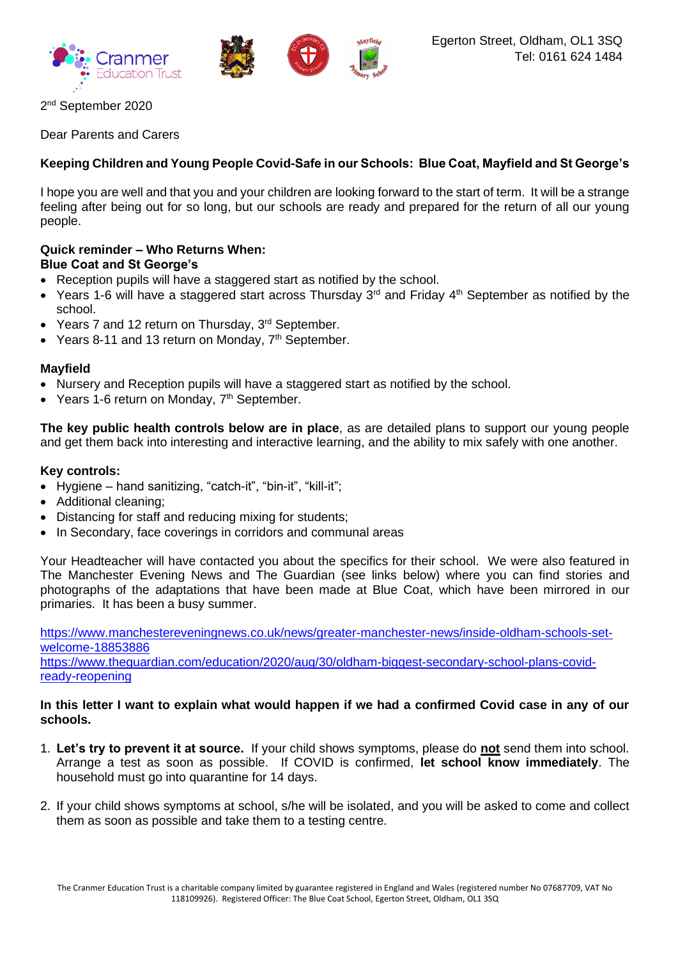





2<sup>nd</sup> September 2020

Dear Parents and Carers

# **Keeping Children and Young People Covid-Safe in our Schools: Blue Coat, Mayfield and St George's**

I hope you are well and that you and your children are looking forward to the start of term. It will be a strange feeling after being out for so long, but our schools are ready and prepared for the return of all our young people.

## **Quick reminder – Who Returns When: Blue Coat and St George's**

- Reception pupils will have a staggered start as notified by the school.
- Years 1-6 will have a staggered start across Thursday 3<sup>rd</sup> and Friday 4<sup>th</sup> September as notified by the school.
- Years 7 and 12 return on Thursday, 3<sup>rd</sup> September.
- Years 8-11 and 13 return on Monday, 7<sup>th</sup> September.

## **Mayfield**

- Nursery and Reception pupils will have a staggered start as notified by the school.
- Years 1-6 return on Monday, 7<sup>th</sup> September.

**The key public health controls below are in place**, as are detailed plans to support our young people and get them back into interesting and interactive learning, and the ability to mix safely with one another.

## **Key controls:**

- Hygiene hand sanitizing, "catch-it", "bin-it", "kill-it";
- Additional cleaning;
- Distancing for staff and reducing mixing for students;
- In Secondary, face coverings in corridors and communal areas

Your Headteacher will have contacted you about the specifics for their school. We were also featured in The Manchester Evening News and The Guardian (see links below) where you can find stories and photographs of the adaptations that have been made at Blue Coat, which have been mirrored in our primaries. It has been a busy summer.

[https://www.manchestereveningnews.co.uk/news/greater-manchester-news/inside-oldham-schools-set](https://www.manchestereveningnews.co.uk/news/greater-manchester-news/inside-oldham-schools-set-welcome-18853886)[welcome-18853886](https://www.manchestereveningnews.co.uk/news/greater-manchester-news/inside-oldham-schools-set-welcome-18853886)

[https://www.theguardian.com/education/2020/aug/30/oldham-biggest-secondary-school-plans-covid](https://www.theguardian.com/education/2020/aug/30/oldham-biggest-secondary-school-plans-covid-ready-reopening)[ready-reopening](https://www.theguardian.com/education/2020/aug/30/oldham-biggest-secondary-school-plans-covid-ready-reopening)

### **In this letter I want to explain what would happen if we had a confirmed Covid case in any of our schools.**

- 1. **Let's try to prevent it at source.** If your child shows symptoms, please do **not** send them into school. Arrange a test as soon as possible. If COVID is confirmed, **let school know immediately**. The household must go into quarantine for 14 days.
- 2. If your child shows symptoms at school, s/he will be isolated, and you will be asked to come and collect them as soon as possible and take them to a testing centre.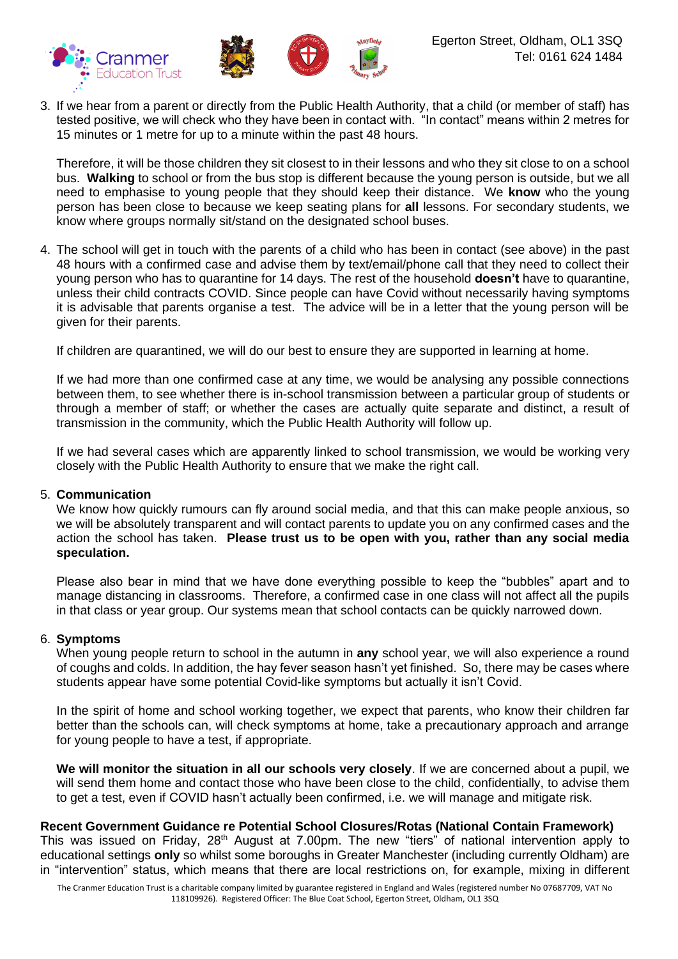

3. If we hear from a parent or directly from the Public Health Authority, that a child (or member of staff) has tested positive, we will check who they have been in contact with. "In contact" means within 2 metres for 15 minutes or 1 metre for up to a minute within the past 48 hours.

Therefore, it will be those children they sit closest to in their lessons and who they sit close to on a school bus. **Walking** to school or from the bus stop is different because the young person is outside, but we all need to emphasise to young people that they should keep their distance. We **know** who the young person has been close to because we keep seating plans for **all** lessons. For secondary students, we know where groups normally sit/stand on the designated school buses.

4. The school will get in touch with the parents of a child who has been in contact (see above) in the past 48 hours with a confirmed case and advise them by text/email/phone call that they need to collect their young person who has to quarantine for 14 days. The rest of the household **doesn't** have to quarantine, unless their child contracts COVID. Since people can have Covid without necessarily having symptoms it is advisable that parents organise a test. The advice will be in a letter that the young person will be given for their parents.

If children are quarantined, we will do our best to ensure they are supported in learning at home.

If we had more than one confirmed case at any time, we would be analysing any possible connections between them, to see whether there is in-school transmission between a particular group of students or through a member of staff; or whether the cases are actually quite separate and distinct, a result of transmission in the community, which the Public Health Authority will follow up.

If we had several cases which are apparently linked to school transmission, we would be working very closely with the Public Health Authority to ensure that we make the right call.

#### 5. **Communication**

We know how quickly rumours can fly around social media, and that this can make people anxious, so we will be absolutely transparent and will contact parents to update you on any confirmed cases and the action the school has taken. **Please trust us to be open with you, rather than any social media speculation.**

Please also bear in mind that we have done everything possible to keep the "bubbles" apart and to manage distancing in classrooms. Therefore, a confirmed case in one class will not affect all the pupils in that class or year group. Our systems mean that school contacts can be quickly narrowed down.

#### 6. **Symptoms**

When young people return to school in the autumn in **any** school year, we will also experience a round of coughs and colds. In addition, the hay fever season hasn't yet finished. So, there may be cases where students appear have some potential Covid-like symptoms but actually it isn't Covid.

In the spirit of home and school working together, we expect that parents, who know their children far better than the schools can, will check symptoms at home, take a precautionary approach and arrange for young people to have a test, if appropriate.

**We will monitor the situation in all our schools very closely**. If we are concerned about a pupil, we will send them home and contact those who have been close to the child, confidentially, to advise them to get a test, even if COVID hasn't actually been confirmed, i.e. we will manage and mitigate risk.

### **Recent Government Guidance re Potential School Closures/Rotas (National Contain Framework)**

This was issued on Friday, 28<sup>th</sup> August at 7.00pm. The new "tiers" of national intervention apply to educational settings **only** so whilst some boroughs in Greater Manchester (including currently Oldham) are in "intervention" status, which means that there are local restrictions on, for example, mixing in different